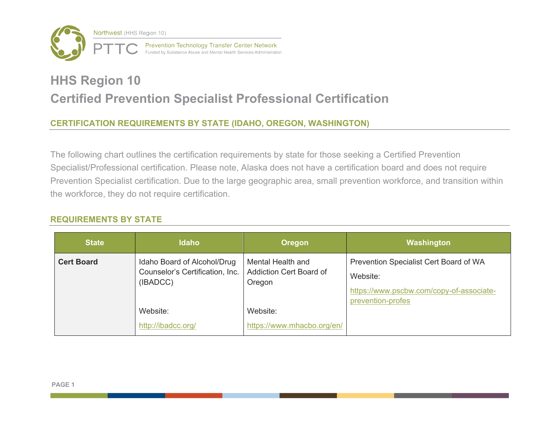

# **HHS Region 10 Certified Prevention Specialist Professional Certification**

# **CERTIFICATION REQUIREMENTS BY STATE (IDAHO, OREGON, WASHINGTON)**

 Prevention Specialist certification. Due to the large geographic area, small prevention workforce, and transition within The following chart outlines the certification requirements by state for those seeking a Certified Prevention Specialist/Professional certification. Please note, Alaska does not have a certification board and does not require the workforce, they do not require certification.

## **REQUIREMENTS BY STATE**

| <b>State</b>      | <b>Idaho</b>                                                               | <b>Oregon</b>                                          | Washington                                                                                                          |
|-------------------|----------------------------------------------------------------------------|--------------------------------------------------------|---------------------------------------------------------------------------------------------------------------------|
| <b>Cert Board</b> | Idaho Board of Alcohol/Drug<br>Counselor's Certification, Inc.<br>(IBADCC) | Mental Health and<br>Addiction Cert Board of<br>Oregon | Prevention Specialist Cert Board of WA<br>Website:<br>https://www.pscbw.com/copy-of-associate-<br>prevention-profes |
|                   | Website:<br>http://ibadcc.org/                                             | Website:<br>https://www.mhacbo.org/en/                 |                                                                                                                     |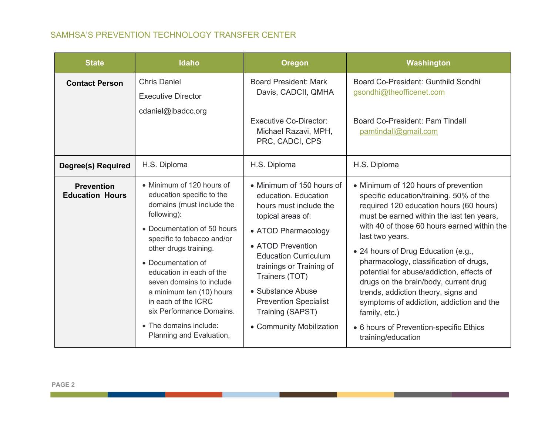| <b>State</b>                                | <b>Idaho</b>                                                                                                                                                                                                                                                                                                                                                                                                | <b>Oregon</b>                                                                                                                                                                                                                                                                                                                  | Washington                                                                                                                                                                                                                                                                                                                                                                                                                                                                                                                                                                            |
|---------------------------------------------|-------------------------------------------------------------------------------------------------------------------------------------------------------------------------------------------------------------------------------------------------------------------------------------------------------------------------------------------------------------------------------------------------------------|--------------------------------------------------------------------------------------------------------------------------------------------------------------------------------------------------------------------------------------------------------------------------------------------------------------------------------|---------------------------------------------------------------------------------------------------------------------------------------------------------------------------------------------------------------------------------------------------------------------------------------------------------------------------------------------------------------------------------------------------------------------------------------------------------------------------------------------------------------------------------------------------------------------------------------|
| <b>Contact Person</b>                       | <b>Chris Daniel</b><br><b>Executive Director</b><br>cdaniel@ibadcc.org                                                                                                                                                                                                                                                                                                                                      | <b>Board President: Mark</b><br>Davis, CADCII, QMHA<br><b>Executive Co-Director:</b><br>Michael Razavi, MPH,<br>PRC, CADCI, CPS                                                                                                                                                                                                | Board Co-President: Gunthild Sondhi<br>gsondhi@theofficenet.com<br>Board Co-President: Pam Tindall<br>pamtindall@gmail.com                                                                                                                                                                                                                                                                                                                                                                                                                                                            |
| <b>Degree(s) Required</b>                   | H.S. Diploma                                                                                                                                                                                                                                                                                                                                                                                                | H.S. Diploma                                                                                                                                                                                                                                                                                                                   | H.S. Diploma                                                                                                                                                                                                                                                                                                                                                                                                                                                                                                                                                                          |
| <b>Prevention</b><br><b>Education Hours</b> | • Minimum of 120 hours of<br>education specific to the<br>domains (must include the<br>following):<br>• Documentation of 50 hours<br>specific to tobacco and/or<br>other drugs training.<br>• Documentation of<br>education in each of the<br>seven domains to include<br>a minimum ten (10) hours<br>in each of the ICRC<br>six Performance Domains.<br>• The domains include:<br>Planning and Evaluation, | • Minimum of 150 hours of<br>education. Education<br>hours must include the<br>topical areas of:<br>• ATOD Pharmacology<br>• ATOD Prevention<br><b>Education Curriculum</b><br>trainings or Training of<br>Trainers (TOT)<br>• Substance Abuse<br><b>Prevention Specialist</b><br>Training (SAPST)<br>• Community Mobilization | • Minimum of 120 hours of prevention<br>specific education/training. 50% of the<br>required 120 education hours (60 hours)<br>must be earned within the last ten years,<br>with 40 of those 60 hours earned within the<br>last two years.<br>• 24 hours of Drug Education (e.g.,<br>pharmacology, classification of drugs,<br>potential for abuse/addiction, effects of<br>drugs on the brain/body, current drug<br>trends, addiction theory, signs and<br>symptoms of addiction, addiction and the<br>family, etc.)<br>• 6 hours of Prevention-specific Ethics<br>training/education |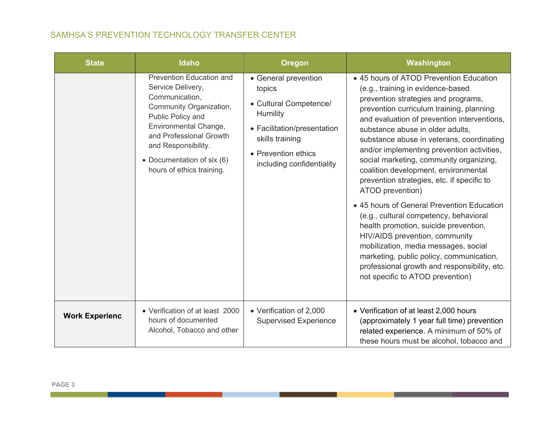| SAMHSA'S PREVENTION TECHNOLOGY TRANSFER CENTER |  |  |  |  |  |
|------------------------------------------------|--|--|--|--|--|
|------------------------------------------------|--|--|--|--|--|

| <b>State</b>          | <b>Idaho</b>                                                                                                                                                                                                                                                 | <b>Oregon</b>                                                                                                                                                              | Washington                                                                                                                                                                                                                                                                                                                                                                                                                                                                                                                                                                                                                                                                                                                                                                                                                                    |
|-----------------------|--------------------------------------------------------------------------------------------------------------------------------------------------------------------------------------------------------------------------------------------------------------|----------------------------------------------------------------------------------------------------------------------------------------------------------------------------|-----------------------------------------------------------------------------------------------------------------------------------------------------------------------------------------------------------------------------------------------------------------------------------------------------------------------------------------------------------------------------------------------------------------------------------------------------------------------------------------------------------------------------------------------------------------------------------------------------------------------------------------------------------------------------------------------------------------------------------------------------------------------------------------------------------------------------------------------|
|                       | <b>Prevention Education and</b><br>Service Delivery,<br>Communication,<br>Community Organization,<br>Public Policy and<br>Environmental Change,<br>and Professional Growth<br>and Responsibility.<br>• Documentation of six (6)<br>hours of ethics training. | • General prevention<br>topics<br>• Cultural Competence/<br>Humility<br>• Facilitation/presentation<br>skills training<br>• Prevention ethics<br>including confidentiality | • 45 hours of ATOD Prevention Education<br>(e.g., training in evidence-based<br>prevention strategies and programs,<br>prevention curriculum training, planning<br>and evaluation of prevention interventions,<br>substance abuse in older adults.<br>substance abuse in veterans, coordinating<br>and/or implementing prevention activities,<br>social marketing, community organizing,<br>coalition development, environmental<br>prevention strategies, etc. if specific to<br>ATOD prevention)<br>• 45 hours of General Prevention Education<br>(e.g., cultural competency, behavioral<br>health promotion, suicide prevention,<br>HIV/AIDS prevention, community<br>mobilization, media messages, social<br>marketing, public policy, communication,<br>professional growth and responsibility, etc.<br>not specific to ATOD prevention) |
| <b>Work Experienc</b> | • Verification of at least 2000<br>hours of documented<br>Alcohol, Tobacco and other                                                                                                                                                                         | • Verification of 2,000<br><b>Supervised Experience</b>                                                                                                                    | • Verification of at least 2,000 hours<br>(approximately 1 year full time) prevention<br>related experience. A minimum of 50% of<br>these hours must be alcohol, tobacco and                                                                                                                                                                                                                                                                                                                                                                                                                                                                                                                                                                                                                                                                  |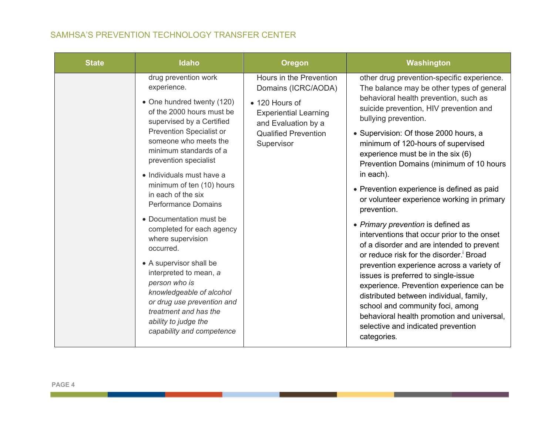| <b>State</b> | <b>Idaho</b>                                                                                                                                                                                                                                                                                                                                                                                                                                                                                                                                                                                                                                                     | <b>Oregon</b>                                                                                                                                                        | Washington                                                                                                                                                                                                                                                                                                                                                                                                                                                                                                                                                                                                                                                                                                                                                                                                                                                                                                                                                                                           |
|--------------|------------------------------------------------------------------------------------------------------------------------------------------------------------------------------------------------------------------------------------------------------------------------------------------------------------------------------------------------------------------------------------------------------------------------------------------------------------------------------------------------------------------------------------------------------------------------------------------------------------------------------------------------------------------|----------------------------------------------------------------------------------------------------------------------------------------------------------------------|------------------------------------------------------------------------------------------------------------------------------------------------------------------------------------------------------------------------------------------------------------------------------------------------------------------------------------------------------------------------------------------------------------------------------------------------------------------------------------------------------------------------------------------------------------------------------------------------------------------------------------------------------------------------------------------------------------------------------------------------------------------------------------------------------------------------------------------------------------------------------------------------------------------------------------------------------------------------------------------------------|
|              | drug prevention work<br>experience.<br>• One hundred twenty (120)<br>of the 2000 hours must be<br>supervised by a Certified<br><b>Prevention Specialist or</b><br>someone who meets the<br>minimum standards of a<br>prevention specialist<br>• Individuals must have a<br>minimum of ten (10) hours<br>in each of the six<br><b>Performance Domains</b><br>• Documentation must be<br>completed for each agency<br>where supervision<br>occurred.<br>• A supervisor shall be<br>interpreted to mean, a<br>person who is<br>knowledgeable of alcohol<br>or drug use prevention and<br>treatment and has the<br>ability to judge the<br>capability and competence | Hours in the Prevention<br>Domains (ICRC/AODA)<br>• 120 Hours of<br><b>Experiential Learning</b><br>and Evaluation by a<br><b>Qualified Prevention</b><br>Supervisor | other drug prevention-specific experience.<br>The balance may be other types of general<br>behavioral health prevention, such as<br>suicide prevention, HIV prevention and<br>bullying prevention.<br>• Supervision: Of those 2000 hours, a<br>minimum of 120-hours of supervised<br>experience must be in the six (6)<br>Prevention Domains (minimum of 10 hours<br>in each).<br>• Prevention experience is defined as paid<br>or volunteer experience working in primary<br>prevention.<br>• Primary prevention is defined as<br>interventions that occur prior to the onset<br>of a disorder and are intended to prevent<br>or reduce risk for the disorder. <sup>i</sup> Broad<br>prevention experience across a variety of<br>issues is preferred to single-issue<br>experience. Prevention experience can be<br>distributed between individual, family,<br>school and community foci, among<br>behavioral health promotion and universal,<br>selective and indicated prevention<br>categories. |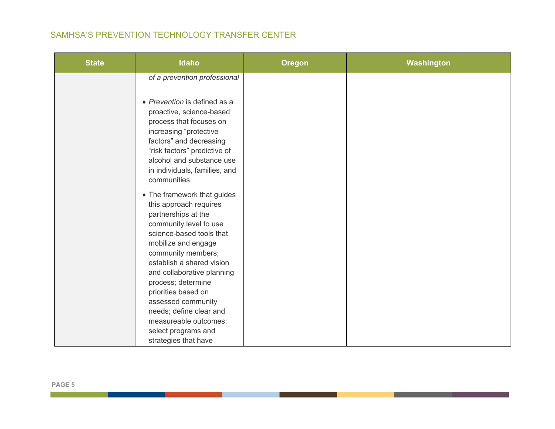| <b>State</b> | <b>Idaho</b>                                                                                                                                                                                                                                                                                                                                                                                                     | <b>Oregon</b> | Washington |
|--------------|------------------------------------------------------------------------------------------------------------------------------------------------------------------------------------------------------------------------------------------------------------------------------------------------------------------------------------------------------------------------------------------------------------------|---------------|------------|
|              | of a prevention professional                                                                                                                                                                                                                                                                                                                                                                                     |               |            |
|              | • Prevention is defined as a<br>proactive, science-based<br>process that focuses on<br>increasing "protective<br>factors" and decreasing<br>"risk factors" predictive of<br>alcohol and substance use<br>in individuals, families, and<br>communities.                                                                                                                                                           |               |            |
|              | • The framework that guides<br>this approach requires<br>partnerships at the<br>community level to use<br>science-based tools that<br>mobilize and engage<br>community members;<br>establish a shared vision<br>and collaborative planning<br>process; determine<br>priorities based on<br>assessed community<br>needs; define clear and<br>measureable outcomes;<br>select programs and<br>strategies that have |               |            |